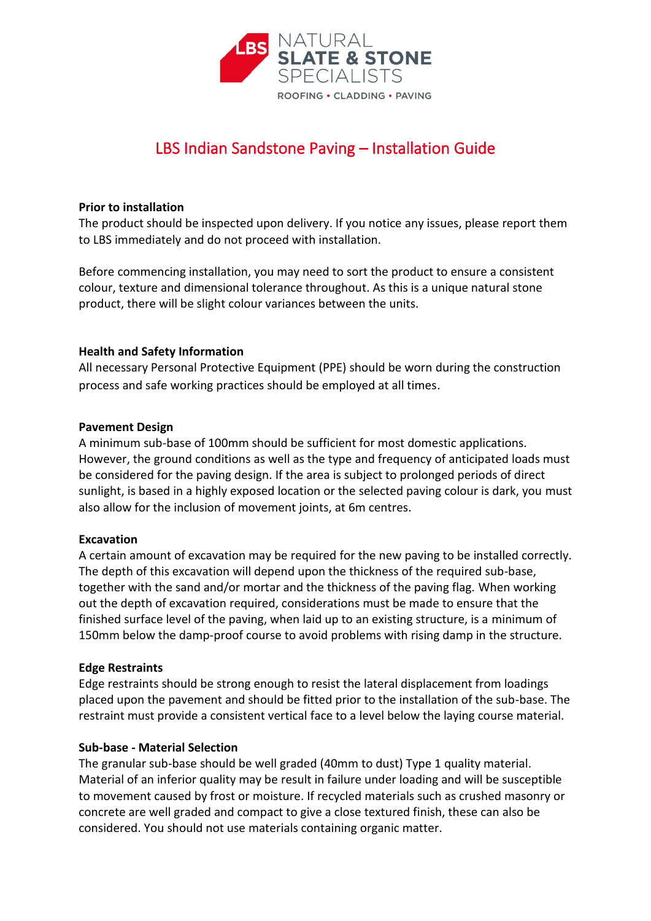

# LBS Indian Sandstone Paving – Installation Guide

## **Prior to installation**

The product should be inspected upon delivery. If you notice any issues, please report them to LBS immediately and do not proceed with installation.

Before commencing installation, you may need to sort the product to ensure a consistent colour, texture and dimensional tolerance throughout. As this is a unique natural stone product, there will be slight colour variances between the units.

## **Health and Safety Information**

All necessary Personal Protective Equipment (PPE) should be worn during the construction process and safe working practices should be employed at all times.

## **Pavement Design**

A minimum sub-base of 100mm should be sufficient for most domestic applications. However, the ground conditions as well as the type and frequency of anticipated loads must be considered for the paving design. If the area is subject to prolonged periods of direct sunlight, is based in a highly exposed location or the selected paving colour is dark, you must also allow for the inclusion of movement joints, at 6m centres.

### **Excavation**

A certain amount of excavation may be required for the new paving to be installed correctly. The depth of this excavation will depend upon the thickness of the required sub-base, together with the sand and/or mortar and the thickness of the paving flag. When working out the depth of excavation required, considerations must be made to ensure that the finished surface level of the paving, when laid up to an existing structure, is a minimum of 150mm below the damp-proof course to avoid problems with rising damp in the structure.

### **Edge Restraints**

Edge restraints should be strong enough to resist the lateral displacement from loadings placed upon the pavement and should be fitted prior to the installation of the sub-base. The restraint must provide a consistent vertical face to a level below the laying course material.

# **Sub-base - Material Selection**

The granular sub-base should be well graded (40mm to dust) Type 1 quality material. Material of an inferior quality may be result in failure under loading and will be susceptible to movement caused by frost or moisture. If recycled materials such as crushed masonry or concrete are well graded and compact to give a close textured finish, these can also be considered. You should not use materials containing organic matter.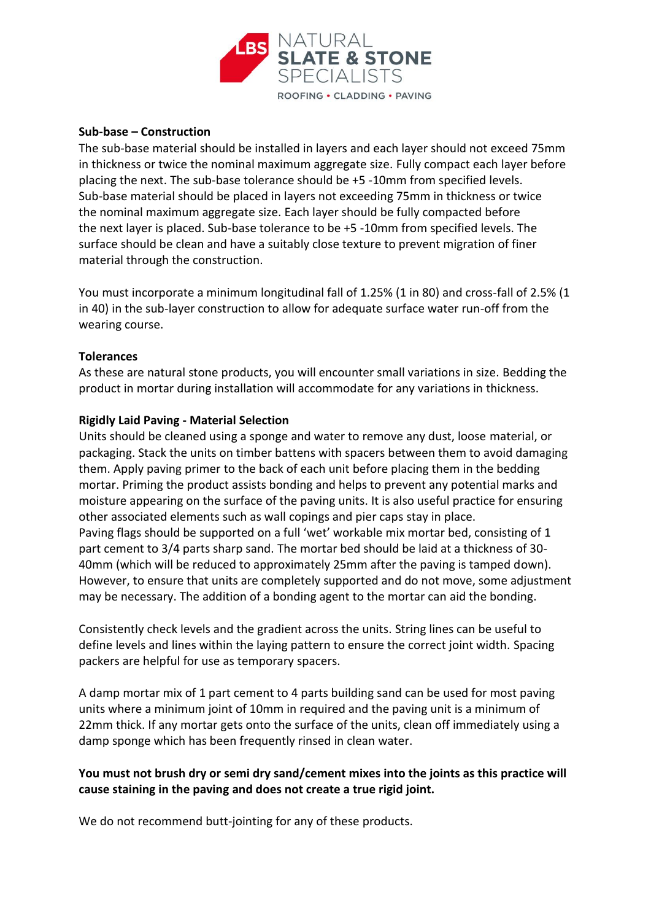

# **Sub-base – Construction**

The sub-base material should be installed in layers and each layer should not exceed 75mm in thickness or twice the nominal maximum aggregate size. Fully compact each layer before placing the next. The sub-base tolerance should be +5 -10mm from specified levels. Sub-base material should be placed in layers not exceeding 75mm in thickness or twice the nominal maximum aggregate size. Each layer should be fully compacted before the next layer is placed. Sub-base tolerance to be +5 -10mm from specified levels. The surface should be clean and have a suitably close texture to prevent migration of finer material through the construction.

You must incorporate a minimum longitudinal fall of 1.25% (1 in 80) and cross-fall of 2.5% (1 in 40) in the sub-layer construction to allow for adequate surface water run-off from the wearing course.

### **Tolerances**

As these are natural stone products, you will encounter small variations in size. Bedding the product in mortar during installation will accommodate for any variations in thickness.

## **Rigidly Laid Paving - Material Selection**

Units should be cleaned using a sponge and water to remove any dust, loose material, or packaging. Stack the units on timber battens with spacers between them to avoid damaging them. Apply paving primer to the back of each unit before placing them in the bedding mortar. Priming the product assists bonding and helps to prevent any potential marks and moisture appearing on the surface of the paving units. It is also useful practice for ensuring other associated elements such as wall copings and pier caps stay in place. Paving flags should be supported on a full 'wet' workable mix mortar bed, consisting of 1 part cement to 3/4 parts sharp sand. The mortar bed should be laid at a thickness of 30- 40mm (which will be reduced to approximately 25mm after the paving is tamped down). However, to ensure that units are completely supported and do not move, some adjustment may be necessary. The addition of a bonding agent to the mortar can aid the bonding.

Consistently check levels and the gradient across the units. String lines can be useful to define levels and lines within the laying pattern to ensure the correct joint width. Spacing packers are helpful for use as temporary spacers.

A damp mortar mix of 1 part cement to 4 parts building sand can be used for most paving units where a minimum joint of 10mm in required and the paving unit is a minimum of 22mm thick. If any mortar gets onto the surface of the units, clean off immediately using a damp sponge which has been frequently rinsed in clean water.

# **You must not brush dry or semi dry sand/cement mixes into the joints as this practice will cause staining in the paving and does not create a true rigid joint.**

We do not recommend butt-jointing for any of these products.